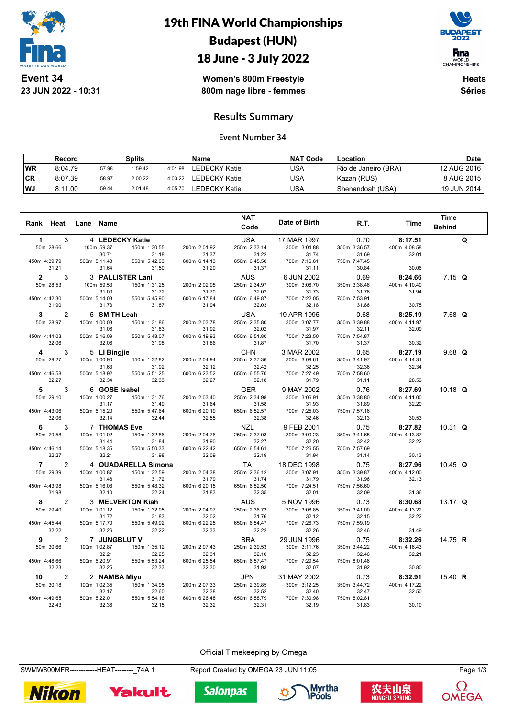

**23 JUN 2022 - 10:31**

## 19th FINA World Championships Budapest (HUN) 18 June - 3 July 2022



**Women's 800m Freestyle 800m nage libre - femmes**

**Heats Séries**

#### **Results Summary**

#### **Event Number 34**

|           | Record  |       | Splits  |         | <b>Name</b>   | <b>NAT Code</b> | Location             | Date        |
|-----------|---------|-------|---------|---------|---------------|-----------------|----------------------|-------------|
| <b>WR</b> | 8:04.79 | 57.98 | 1:59.42 | 4:01.98 | LEDECKY Katie | USA             | Rio de Janeiro (BRA) | 12 AUG 2016 |
| ∣CR       | 8:07.39 | 58.97 | 2:00.22 | 4:03.22 | LEDECKY Katie | USA             | Kazan (RUS)          | 8 AUG 2015  |
| <b>WJ</b> | 8:11.00 | 59.44 | 2:01.48 | 4:05.70 | LEDECKY Katie | JSA             | Shenandoah (USA)     | 19 JUN 2014 |

| Rank Heat      |                | Lane         | Name                           |                                  |                       | <b>NAT</b>                 | Date of Birth              | R.T.                  | Time                    | <b>Time</b>    |   |
|----------------|----------------|--------------|--------------------------------|----------------------------------|-----------------------|----------------------------|----------------------------|-----------------------|-------------------------|----------------|---|
|                |                |              |                                |                                  |                       | Code                       |                            |                       |                         | <b>Behind</b>  |   |
| 1              | 3              |              | 4 LEDECKY Katie                |                                  |                       | <b>USA</b>                 | 17 MAR 1997                | 0.70                  | 8:17.51                 |                | Q |
|                | 50m 28.66      |              | 100m 59.37                     | 150m 1:30.55                     | 200m 2:01.92          | 250m 2:33.14               | 300m 3:04.88               | 350m 3:36.57          | 400m 4:08.58            |                |   |
|                |                |              | 30.71                          | 31.18                            | 31.37                 | 31.22                      | 31.74                      | 31.69                 | 32.01                   |                |   |
| 450m 4:39.79   | 31.21          | 500m 5:11.43 | 31.64                          | 550m 5:42.93<br>31.50            | 600m 6:14.13<br>31.20 | 650m 6:45.50<br>31.37      | 700m 7:16.61<br>31.11      | 750m 7:47.45<br>30.84 | 30.06                   |                |   |
|                |                |              |                                |                                  |                       |                            |                            |                       |                         |                |   |
| $\mathbf{2}$   | 3<br>50m 28.53 |              | 3 PALLISTER Lani<br>100m 59.53 | 150m 1:31.25                     |                       | <b>AUS</b><br>250m 2:34.97 | 6 JUN 2002<br>300m 3:06.70 | 0.69<br>350m 3:38.46  | 8:24.66<br>400m 4:10.40 | $7.15$ Q       |   |
|                |                |              | 31.00                          | 31.72                            | 200m 2:02.95<br>31.70 | 32.02                      | 31.73                      | 31.76                 | 31.94                   |                |   |
| 450m 4:42.30   |                | 500m 5:14.03 |                                | 550m 5:45.90                     | 600m 6:17.84          | 650m 6:49.87               | 700m 7:22.05               | 750m 7:53.91          |                         |                |   |
|                | 31.90          |              | 31.73                          | 31.87                            | 31.94                 | 32.03                      | 32.18                      | 31.86                 | 30.75                   |                |   |
| 3              | 2              |              | 5 SMITH Leah                   |                                  |                       | <b>USA</b>                 | 19 APR 1995                | 0.68                  | 8:25.19                 | 7.68 Q         |   |
|                | 50m 28.97      | 100m 1:00.03 |                                | 150m 1:31.86                     | 200m 2:03.78          | 250m 2:35.80               | 300m 3:07.77               | 350m 3:39.88          | 400m 4:11.97            |                |   |
|                |                |              | 31.06                          | 31.83                            | 31.92                 | 32.02                      | 31.97                      | 32.11                 | 32.09                   |                |   |
| 450m 4:44.03   |                | 500m 5:16.09 |                                | 550m 5:48.07                     | 600m 6:19.93          | 650m 6:51.80               | 700m 7:23.50               | 750m 7:54.87          |                         |                |   |
|                | 32.06          |              | 32.06                          | 31.98                            | 31.86                 | 31.87                      | 31.70                      | 31.37                 | 30.32                   |                |   |
| 4              | 3              |              | 5 LI Bingjie                   |                                  |                       | <b>CHN</b>                 | 3 MAR 2002                 | 0.65                  | 8:27.19                 | $9.68$ Q       |   |
|                | 50m 29.27      |              | 100m 1:00.90                   | 150m 1:32.82                     | 200m 2:04.94          | 250m 2:37.36               | 300m 3:09.61               | 350m 3:41.97          | 400m 4:14.31            |                |   |
|                |                |              | 31.63                          | 31.92                            | 32.12                 | 32.42                      | 32.25                      | 32.36                 | 32.34                   |                |   |
| 450m 4:46.58   | 32.27          |              | 500m 5:18.92<br>32.34          | 550m 5:51.25<br>32.33            | 600m 6:23.52<br>32.27 | 650m 6:55.70<br>32.18      | 700m 7:27.49<br>31.79      | 750m 7:58.60<br>31.11 | 28.59                   |                |   |
|                |                |              |                                |                                  |                       |                            |                            |                       |                         |                |   |
| 5              | 3<br>50m 29.10 | 100m 1:00.27 | 6 GOSE Isabel                  |                                  | 200m 2:03.40          | <b>GER</b>                 | 9 MAY 2002<br>300m 3:06.91 | 0.76<br>350m 3:38.80  | 8:27.69                 | 10.18 $Q$      |   |
|                |                |              | 31.17                          | 150m 1:31.76<br>31.49            | 31.64                 | 250m 2:34.98<br>31.58      | 31.93                      | 31.89                 | 400m 4:11.00<br>32.20   |                |   |
| 450m 4:43.06   |                |              | 500m 5:15.20                   | 550m 5:47.64                     | 600m 6:20.19          | 650m 6:52.57               | 700m 7:25.03               | 750m 7:57.16          |                         |                |   |
|                | 32.06          |              | 32.14                          | 32.44                            | 32.55                 | 32.38                      | 32.46                      | 32.13                 | 30.53                   |                |   |
| 6              | 3              |              | <b>7 THOMAS Eve</b>            |                                  |                       | <b>NZL</b>                 | 9 FEB 2001                 | 0.75                  | 8:27.82                 | 10.31 $Q$      |   |
|                | 50m 29.58      |              | 100m 1:01.02                   | 150m 1:32.86                     | 200m 2:04.76          | 250m 2:37.03               | 300m 3:09.23               | 350m 3:41.65          | 400m 4:13.87            |                |   |
|                |                |              | 31.44                          | 31.84                            | 31.90                 | 32.27                      | 32.20                      | 32.42                 | 32.22                   |                |   |
| 450m 4:46.14   |                | 500m 5:18.35 |                                | 550m 5:50.33                     | 600m 6:22.42          | 650m 6:54.61               | 700m 7:26.55               | 750m 7:57.69          |                         |                |   |
|                | 32.27          |              | 32.21                          | 31.98                            | 32.09                 | 32.19                      | 31.94                      | 31.14                 | 30.13                   |                |   |
| $\overline{7}$ | 2              |              |                                | 4 QUADARELLA Simona              |                       | <b>ITA</b>                 | 18 DEC 1998                | 0.75                  | 8:27.96                 | 10.45 $Q$      |   |
|                | 50m 29.39      | 100m 1:00.87 |                                | 150m 1:32.59                     | 200m 2:04.38          | 250m 2:36.12               | 300m 3:07.91               | 350m 3:39.87          | 400m 4:12.00            |                |   |
|                |                |              | 31.48                          | 31.72                            | 31.79                 | 31.74                      | 31.79                      | 31.96                 | 32.13                   |                |   |
| 450m 4:43.98   | 31.98          |              | 500m 5:16.08<br>32.10          | 550m 5:48.32<br>32.24            | 600m 6:20.15<br>31.83 | 650m 6:52.50<br>32.35      | 700m 7:24.51<br>32.01      | 750m 7:56.60<br>32.09 | 31.36                   |                |   |
|                |                |              |                                |                                  |                       |                            |                            |                       |                         |                |   |
| 8              | 2<br>50m 29.40 |              | 100m 1:01.12                   | 3 MELVERTON Kiah<br>150m 1:32.95 |                       | <b>AUS</b><br>250m 2:36.73 | 5 NOV 1996<br>300m 3:08.85 | 0.73<br>350m 3:41.00  | 8:30.68<br>400m 4:13.22 | 13.17 $Q$      |   |
|                |                |              | 31.72                          | 31.83                            | 200m 2:04.97<br>32.02 | 31.76                      | 32.12                      | 32.15                 | 32.22                   |                |   |
| 450m 4:45.44   |                |              | 500m 5:17.70                   | 550m 5:49.92                     | 600m 6:22.25          | 650m 6:54.47               | 700m 7:26.73               | 750m 7:59.19          |                         |                |   |
|                | 32.22          |              | 32.26                          | 32.22                            | 32.33                 | 32.22                      | 32.26                      | 32.46                 | 31.49                   |                |   |
| 9              | 2              |              | 7 JUNGBLUT V                   |                                  |                       | <b>BRA</b>                 | 29 JUN 1996                | 0.75                  | 8:32.26                 | 14.75 R        |   |
|                | 50m 30.66      | 100m 1:02.87 |                                | 150m 1:35.12                     | 200m 2:07.43          | 250m 2:39.53               | 300m 3:11.76               | 350m 3:44.22          | 400m 4:16.43            |                |   |
|                |                |              | 32.21                          | 32.25                            | 32.31                 | 32.10                      | 32.23                      | 32.46                 | 32.21                   |                |   |
| 450m 4:48.66   |                | 500m 5:20.91 |                                | 550m 5:53.24                     | 600m 6:25.54          | 650m 6:57.47               | 700m 7:29.54               | 750m 8:01.46          |                         |                |   |
|                | 32.23          |              | 32.25                          | 32.33                            | 32.30                 | 31.93                      | 32.07                      | 31.92                 | 30.80                   |                |   |
| 10             | $\overline{2}$ |              | 2 NAMBA Miyu                   |                                  |                       | <b>JPN</b>                 | 31 MAY 2002                | 0.73                  | 8:32.91                 | 15.40 <b>R</b> |   |
|                | 50m 30.18      | 100m 1:02.35 |                                | 150m 1:34.95                     | 200m 2:07.33          | 250m 2:39.85               | 300m 3:12.25               | 350m 3:44.72          | 400m 4:17.22            |                |   |
|                |                |              | 32.17                          | 32.60                            | 32.38                 | 32.52                      | 32.40                      | 32.47                 | 32.50                   |                |   |
| 450m 4:49.65   | 32.43          | 500m 5:22.01 | 32.36                          | 550m 5:54.16<br>32.15            | 600m 6:26.48<br>32.32 | 650m 6:58.79<br>32.31      | 700m 7:30.98<br>32.19      | 750m 8:02.81<br>31.83 | 30.10                   |                |   |
|                |                |              |                                |                                  |                       |                            |                            |                       |                         |                |   |

Official Timekeeping by Omega

SWMW800MFR-------------HEAT--------\_74A 1 Report Created by OMEGA 23 JUN 11:05 Page 1/3



Yakult







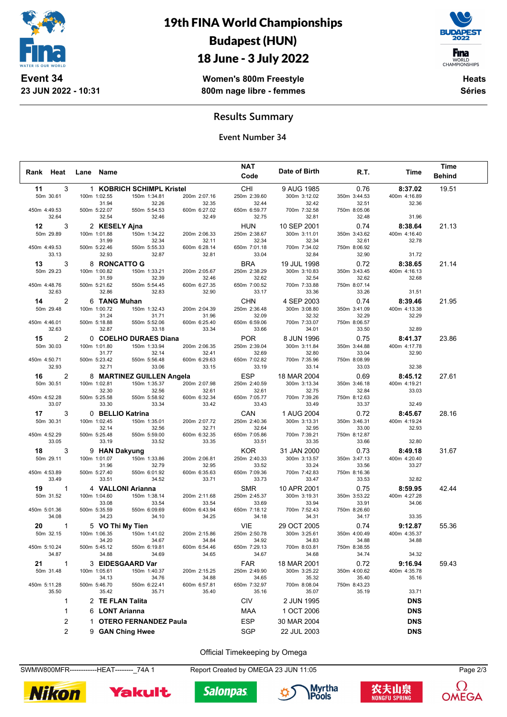

19th FINA World Championships Budapest (HUN)

## 18 June - 3 July 2022

**F**ina WORLD<br>CHAMPIONSHIPS

**Women's 800m Freestyle 800m nage libre - femmes**

**Heats Séries**

#### **Results Summary**

#### **Event Number 34**

|                 |              |   |                              |                              |                       | <b>NAT</b>                 |                             |                       |                         | Time          |  |
|-----------------|--------------|---|------------------------------|------------------------------|-----------------------|----------------------------|-----------------------------|-----------------------|-------------------------|---------------|--|
| Rank Heat       |              |   | Lane Name                    |                              |                       | Code                       | Date of Birth               | R.T.                  | Time                    | <b>Behind</b> |  |
| 11              | 3            |   |                              | 1 KOBRICH SCHIMPL Kristel    |                       | CHI                        | 9 AUG 1985                  | 0.76                  | 8:37.02                 | 19.51         |  |
| 50m 30.61       |              |   | 100m 1:02.55                 | 150m 1:34.81                 | 200m 2:07.16          | 250m 2:39.60               | 300m 3:12.02                | 350m 3:44.53          | 400m 4:16.89            |               |  |
|                 |              |   | 31.94                        | 32.26<br>550m 5:54.53        | 32.35                 | 32.44                      | 32.42<br>700m 7:32.58       | 32.51                 | 32.36                   |               |  |
| 450m 4:49.53    | 32.64        |   | 500m 5:22.07<br>32.54        | 32.46                        | 600m 6:27.02<br>32.49 | 650m 6:59.77<br>32.75      | 32.81                       | 750m 8:05.06<br>32.48 | 31.96                   |               |  |
| 12              | 3            |   | 2 KESELY Ajna                |                              |                       | HUN                        | 10 SEP 2001                 | 0.74                  | 8:38.64                 | 21.13         |  |
| 50m 29.89       |              |   | 100m 1:01.88                 | 150m 1:34.22                 | 200m 2:06.33          | 250m 2:38.67               | 300m 3:11.01                | 350m 3:43.62          | 400m 4:16.40            |               |  |
|                 |              |   | 31.99                        | 32.34                        | 32.11                 | 32.34                      | 32.34                       | 32.61                 | 32.78                   |               |  |
| 450m 4:49.53    |              |   | 500m 5:22.46                 | 550m 5:55.33                 | 600m 6:28.14          | 650m 7:01.18               | 700m 7:34.02                | 750m 8:06.92          |                         |               |  |
|                 | 33.13        |   | 32.93                        | 32.87                        | 32.81                 | 33.04                      | 32.84                       | 32.90                 | 31.72                   |               |  |
| 13<br>50m 29.23 | 3            |   | 8 RONCATTO G<br>100m 1:00.82 | 150m 1:33.21                 | 200m 2:05.67          | <b>BRA</b><br>250m 2:38.29 | 19 JUL 1998<br>300m 3:10.83 | 0.72<br>350m 3:43.45  | 8:38.65<br>400m 4:16.13 | 21.14         |  |
|                 |              |   | 31.59                        | 32.39                        | 32.46                 | 32.62                      | 32.54                       | 32.62                 | 32.68                   |               |  |
| 450m 4:48.76    |              |   | 500m 5:21.62                 | 550m 5:54.45                 | 600m 6:27.35          | 650m 7:00.52               | 700m 7:33.88                | 750m 8:07.14          |                         |               |  |
|                 | 32.63        |   | 32.86                        | 32.83                        | 32.90                 | 33.17                      | 33.36                       | 33.26                 | 31.51                   |               |  |
| 14              | 2            |   | 6 TANG Muhan                 |                              |                       | <b>CHN</b>                 | 4 SEP 2003                  | 0.74                  | 8:39.46                 | 21.95         |  |
| 50m 29.48       |              |   | 100m 1:00.72                 | 150m 1:32.43                 | 200m 2:04.39          | 250m 2:36.48               | 300m 3:08.80                | 350m 3:41.09          | 400m 4:13.38            |               |  |
| 450m 4:46.01    |              |   | 31.24<br>500m 5:18.88        | 31.71<br>550m 5:52.06        | 31.96<br>600m 6:25.40 | 32.09<br>650m 6:59.06      | 32.32<br>700m 7:33.07       | 32.29<br>750m 8:06.57 | 32.29                   |               |  |
|                 | 32.63        |   | 32.87                        | 33.18                        | 33.34                 | 33.66                      | 34.01                       | 33.50                 | 32.89                   |               |  |
| 15              | 2            |   |                              | 0 COELHO DURAES Diana        |                       | <b>POR</b>                 | 8 JUN 1996                  | 0.75                  | 8:41.37                 | 23.86         |  |
| 50m 30.03       |              |   | 100m 1:01.80                 | 150m 1:33.94                 | 200m 2:06.35          | 250m 2:39.04               | 300m 3:11.84                | 350m 3:44.88          | 400m 4:17.78            |               |  |
| 450m 4:50.71    |              |   | 31.77<br>500m 5:23.42        | 32.14<br>550m 5:56.48        | 32.41<br>600m 6:29.63 | 32.69<br>650m 7:02.82      | 32.80<br>700m 7:35.96       | 33.04<br>750m 8:08.99 | 32.90                   |               |  |
|                 | 32.93        |   | 32.71                        | 33.06                        | 33.15                 | 33.19                      | 33.14                       | 33.03                 | 32.38                   |               |  |
| 16              | 2            |   |                              | 8 MARTINEZ GUILLEN Angela    |                       | <b>ESP</b>                 | 18 MAR 2004                 | 0.69                  | 8:45.12                 | 27.61         |  |
| 50m 30.51       |              |   | 100m 1:02.81                 | 150m 1:35.37                 | 200m 2:07.98          | 250m 2:40.59               | 300m 3:13.34                | 350m 3:46.18          | 400m 4:19.21            |               |  |
|                 |              |   | 32.30                        | 32.56                        | 32.61                 | 32.61                      | 32.75                       | 32.84                 | 33.03                   |               |  |
| 450m 4:52.28    | 33.07        |   | 500m 5:25.58<br>33.30        | 550m 5:58.92<br>33.34        | 600m 6:32.34<br>33.42 | 650m 7:05.77<br>33.43      | 700m 7:39.26<br>33.49       | 750m 8:12.63<br>33.37 | 32.49                   |               |  |
| 17              | 3            |   | 0 BELLIO Katrina             |                              |                       | CAN                        | 1 AUG 2004                  | 0.72                  | 8:45.67                 | 28.16         |  |
| 50m 30.31       |              |   | 100m 1:02.45                 | 150m 1:35.01                 | 200m 2:07.72          | 250m 2:40.36               | 300m 3:13.31                | 350m 3:46.31          | 400m 4:19.24            |               |  |
|                 |              |   | 32.14                        | 32.56                        | 32.71                 | 32.64                      | 32.95                       | 33.00                 | 32.93                   |               |  |
| 450m 4:52.29    |              |   | 500m 5:25.48                 | 550m 5:59.00                 | 600m 6:32.35          | 650m 7:05.86               | 700m 7:39.21                | 750m 8:12.87          |                         |               |  |
|                 | 33.05        |   | 33.19                        | 33.52                        | 33.35                 | 33.51                      | 33.35                       | 33.66                 | 32.80                   |               |  |
| 18              | 3            |   | 9 HAN Dakyung                |                              |                       | <b>KOR</b>                 | 31 JAN 2000                 | 0.73                  | 8:49.18                 | 31.67         |  |
| 50m 29.11       |              |   | 100m 1:01.07<br>31.96        | 150m 1:33.86<br>32.79        | 200m 2:06.81<br>32.95 | 250m 2:40.33<br>33.52      | 300m 3:13.57<br>33.24       | 350m 3:47.13<br>33.56 | 400m 4:20.40<br>33.27   |               |  |
| 450m 4:53.89    |              |   | 500m 5:27.40                 | 550m 6:01.92                 | 600m 6:35.63          | 650m 7:09.36               | 700m 7:42.83                | 750m 8:16.36          |                         |               |  |
|                 | 33.49        |   | 33.51                        | 34.52                        | 33.71                 | 33.73                      | 33.47                       | 33.53                 | 32.82                   |               |  |
| 19              | 1            |   |                              | 4 VALLONI Arianna            |                       | <b>SMR</b>                 | 10 APR 2001                 | 0.75                  | 8:59.95                 | 42.44         |  |
| 50m 31.52       |              |   | 100m 1:04.60                 | 150m 1:38.14                 | 200m 2:11.68          | 250m 2:45.37               | 300m 3:19.31                | 350m 3:53.22          | 400m 4:27.28            |               |  |
| 450m 5:01.36    |              |   | 33.08<br>500m 5:35.59        | 33.54<br>550m 6:09.69        | 33.54<br>600m 6:43.94 | 33.69<br>650m 7:18.12      | 33.94<br>700m 7:52.43       | 33.91<br>750m 8:26.60 | 34.06                   |               |  |
|                 | 34.08        |   | 34.23                        | 34.10                        | 34.25                 | 34.18                      | 34.31                       | 34.17                 | 33.35                   |               |  |
| 20              | $\mathbf 1$  |   | 5 VO Thi My Tien             |                              |                       | <b>VIE</b>                 | 29 OCT 2005                 | 0.74                  | 9:12.87                 | 55.36         |  |
| 50m 32.15       |              |   | 100m 1:06.35                 | 150m 1:41.02                 | 200m 2:15.86          | 250m 2:50.78               | 300m 3:25.61                | 350m 4:00.49          | 400m 4:35.37            |               |  |
|                 |              |   | 34.20<br>500m 5:45.12        | 34.67                        | 34.84                 | 34.92                      | 34.83<br>700m 8:03.81       | 34.88                 | 34.88                   |               |  |
| 450m 5:10.24    | 34.87        |   | 34.88                        | 550m 6:19.81<br>34.69        | 600m 6:54.46<br>34.65 | 650m 7:29.13<br>34.67      | 34.68                       | 750m 8:38.55<br>34.74 | 34.32                   |               |  |
| 21              | $\mathbf{1}$ |   |                              | 3 EIDESGAARD Var             |                       | <b>FAR</b>                 | 18 MAR 2001                 | 0.72                  | 9:16.94                 | 59.43         |  |
| 50m 31.48       |              |   | 100m 1:05.61                 | 150m 1:40.37                 | 200m 2:15.25          | 250m 2:49.90               | 300m 3:25.22                | 350m 4:00.62          | 400m 4:35.78            |               |  |
|                 |              |   | 34.13                        | 34.76                        | 34.88                 | 34.65                      | 35.32                       | 35.40                 | 35.16                   |               |  |
| 450m 5:11.28    | 35.50        |   | 500m 5:46.70<br>35.42        | 550m 6:22.41<br>35.71        | 600m 6:57.81<br>35.40 | 650m 7:32.97<br>35.16      | 700m 8:08.04<br>35.07       | 750m 8:43.23<br>35.19 | 33.71                   |               |  |
|                 | 1            |   | 2 TE FLAN Talita             |                              |                       | <b>CIV</b>                 | 2 JUN 1995                  |                       | <b>DNS</b>              |               |  |
|                 | 1            |   | 6 LONT Arianna               |                              |                       | <b>MAA</b>                 | 1 OCT 2006                  |                       | <b>DNS</b>              |               |  |
|                 |              |   |                              |                              |                       |                            |                             |                       |                         |               |  |
|                 | 2            | 1 |                              | <b>OTERO FERNANDEZ Paula</b> |                       | <b>ESP</b>                 | 30 MAR 2004                 |                       | <b>DNS</b>              |               |  |
|                 | 2            |   | 9 GAN Ching Hwee             |                              |                       | <b>SGP</b>                 | 22 JUL 2003                 |                       | <b>DNS</b>              |               |  |

Official Timekeeping by Omega

SWMW800MFR-------------HEAT--------\_74A 1 Report Created by OMEGA 23 JUN 11:05 Page 2/3